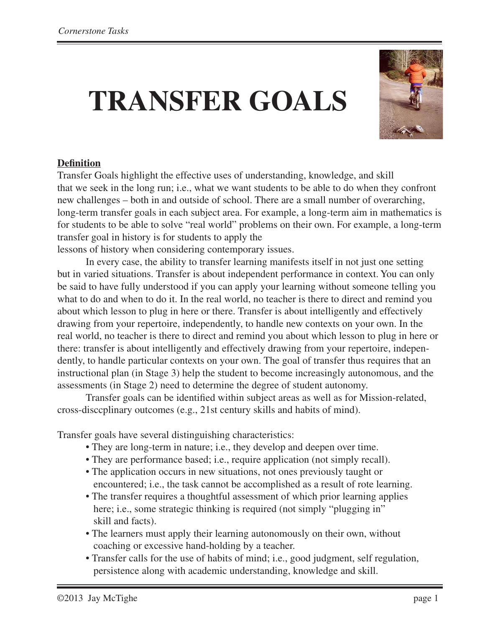# **TRANSFER GOALS**



#### **Definition**

Transfer Goals highlight the effective uses of understanding, knowledge, and skill that we seek in the long run; i.e., what we want students to be able to do when they confront new challenges – both in and outside of school. There are a small number of overarching, long-term transfer goals in each subject area. For example, a long-term aim in mathematics is for students to be able to solve "real world" problems on their own. For example, a long-term transfer goal in history is for students to apply the

lessons of history when considering contemporary issues.

In every case, the ability to transfer learning manifests itself in not just one setting but in varied situations. Transfer is about independent performance in context. You can only be said to have fully understood if you can apply your learning without someone telling you what to do and when to do it. In the real world, no teacher is there to direct and remind you about which lesson to plug in here or there. Transfer is about intelligently and effectively drawing from your repertoire, independently, to handle new contexts on your own. In the real world, no teacher is there to direct and remind you about which lesson to plug in here or there: transfer is about intelligently and effectively drawing from your repertoire, independently, to handle particular contexts on your own. The goal of transfer thus requires that an instructional plan (in Stage 3) help the student to become increasingly autonomous, and the assessments (in Stage 2) need to determine the degree of student autonomy.

Transfer goals can be identified within subject areas as well as for Mission-related, cross-disccplinary outcomes (e.g., 21st century skills and habits of mind).

Transfer goals have several distinguishing characteristics:

- They are long-term in nature; i.e., they develop and deepen over time.
- They are performance based; i.e., require application (not simply recall).
- The application occurs in new situations, not ones previously taught or encountered; i.e., the task cannot be accomplished as a result of rote learning.
- The transfer requires a thoughtful assessment of which prior learning applies here; i.e., some strategic thinking is required (not simply "plugging in" skill and facts).
- The learners must apply their learning autonomously on their own, without coaching or excessive hand-holding by a teacher.
- Transfer calls for the use of habits of mind; i.e., good judgment, self regulation, persistence along with academic understanding, knowledge and skill.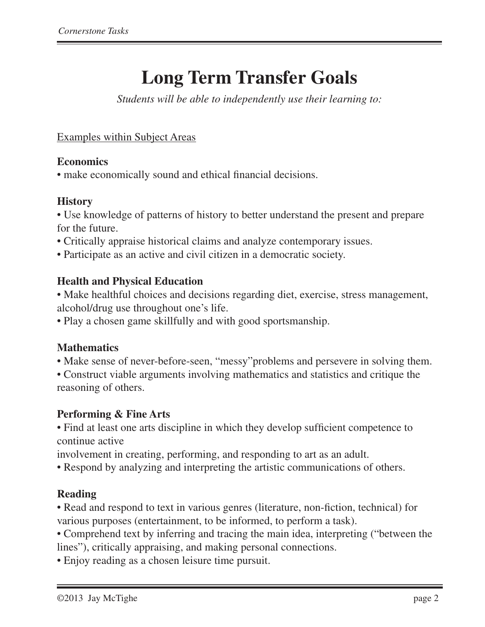# **Long Term Transfer Goals**

*Students will be able to independently use their learning to:*

Examples within Subject Areas

#### **Economics**

• make economically sound and ethical financial decisions.

#### **History**

• Use knowledge of patterns of history to better understand the present and prepare for the future.

- Critically appraise historical claims and analyze contemporary issues.
- Participate as an active and civil citizen in a democratic society.

#### **Health and Physical Education**

- Make healthful choices and decisions regarding diet, exercise, stress management, alcohol/drug use throughout one's life.
- Play a chosen game skillfully and with good sportsmanship.

#### **Mathematics**

- Make sense of never-before-seen, "messy"problems and persevere in solving them.
- Construct viable arguments involving mathematics and statistics and critique the reasoning of others.

#### **Performing & Fine Arts**

• Find at least one arts discipline in which they develop sufficient competence to continue active

involvement in creating, performing, and responding to art as an adult.

• Respond by analyzing and interpreting the artistic communications of others.

#### **Reading**

• Read and respond to text in various genres (literature, non-fiction, technical) for various purposes (entertainment, to be informed, to perform a task).

• Comprehend text by inferring and tracing the main idea, interpreting ("between the lines"), critically appraising, and making personal connections.

• Enjoy reading as a chosen leisure time pursuit.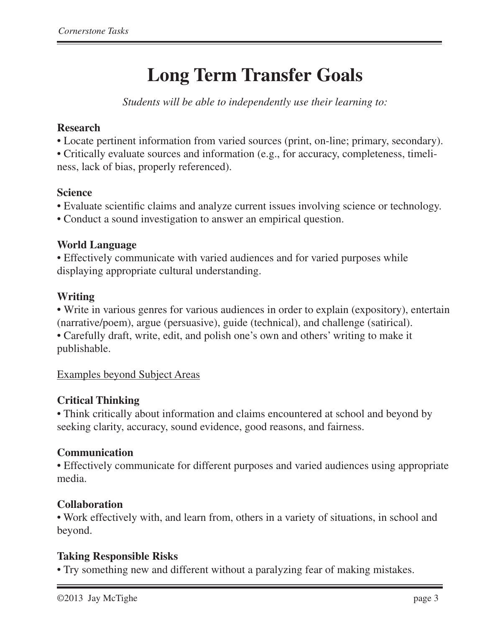# **Long Term Transfer Goals**

*Students will be able to independently use their learning to:*

#### **Research**

• Locate pertinent information from varied sources (print, on-line; primary, secondary).

• Critically evaluate sources and information (e.g., for accuracy, completeness, timeliness, lack of bias, properly referenced).

#### **Science**

- Evaluate scientific claims and analyze current issues involving science or technology.
- Conduct a sound investigation to answer an empirical question.

#### **World Language**

• Effectively communicate with varied audiences and for varied purposes while displaying appropriate cultural understanding.

#### **Writing**

**•** Write in various genres for various audiences in order to explain (expository), entertain (narrative/poem), argue (persuasive), guide (technical), and challenge (satirical). • Carefully draft, write, edit, and polish one's own and others' writing to make it publishable.

#### Examples beyond Subject Areas

#### **Critical Thinking**

• Think critically about information and claims encountered at school and beyond by seeking clarity, accuracy, sound evidence, good reasons, and fairness.

#### **Communication**

• Effectively communicate for different purposes and varied audiences using appropriate media.

#### **Collaboration**

• Work effectively with, and learn from, others in a variety of situations, in school and beyond.

### **Taking Responsible Risks**

• Try something new and different without a paralyzing fear of making mistakes.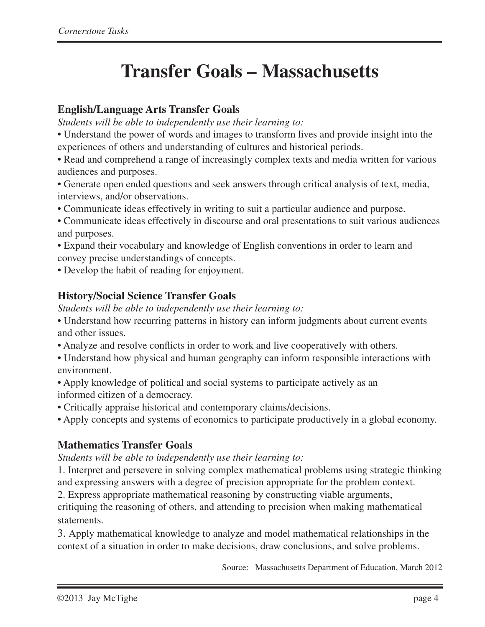# **Transfer Goals – Massachusetts**

#### **English/Language Arts Transfer Goals**

*Students will be able to independently use their learning to:*

• Understand the power of words and images to transform lives and provide insight into the experiences of others and understanding of cultures and historical periods.

• Read and comprehend a range of increasingly complex texts and media written for various audiences and purposes.

• Generate open ended questions and seek answers through critical analysis of text, media, interviews, and/or observations.

• Communicate ideas effectively in writing to suit a particular audience and purpose.

• Communicate ideas effectively in discourse and oral presentations to suit various audiences and purposes.

• Expand their vocabulary and knowledge of English conventions in order to learn and convey precise understandings of concepts.

• Develop the habit of reading for enjoyment.

#### **History/Social Science Transfer Goals**

*Students will be able to independently use their learning to:*

• Understand how recurring patterns in history can inform judgments about current events and other issues.

• Analyze and resolve conflicts in order to work and live cooperatively with others.

• Understand how physical and human geography can inform responsible interactions with environment.

• Apply knowledge of political and social systems to participate actively as an informed citizen of a democracy.

• Critically appraise historical and contemporary claims/decisions.

• Apply concepts and systems of economics to participate productively in a global economy.

### **Mathematics Transfer Goals**

#### *Students will be able to independently use their learning to:*

1. Interpret and persevere in solving complex mathematical problems using strategic thinking and expressing answers with a degree of precision appropriate for the problem context.

2. Express appropriate mathematical reasoning by constructing viable arguments,

critiquing the reasoning of others, and attending to precision when making mathematical statements.

3. Apply mathematical knowledge to analyze and model mathematical relationships in the context of a situation in order to make decisions, draw conclusions, and solve problems.

Source: Massachusetts Department of Education, March 2012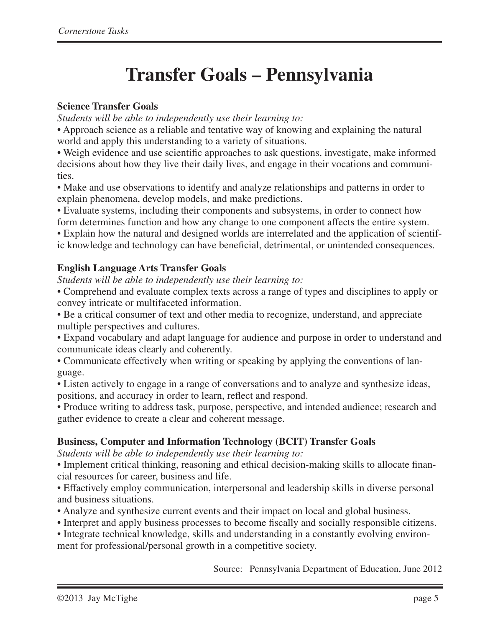## **Transfer Goals – Pennsylvania**

#### **Science Transfer Goals**

*Students will be able to independently use their learning to:*

• Approach science as a reliable and tentative way of knowing and explaining the natural world and apply this understanding to a variety of situations.

• Weigh evidence and use scientific approaches to ask questions, investigate, make informed decisions about how they live their daily lives, and engage in their vocations and communities.

• Make and use observations to identify and analyze relationships and patterns in order to explain phenomena, develop models, and make predictions.

• Evaluate systems, including their components and subsystems, in order to connect how form determines function and how any change to one component affects the entire system.

• Explain how the natural and designed worlds are interrelated and the application of scientific knowledge and technology can have beneficial, detrimental, or unintended consequences.

#### **English Language Arts Transfer Goals**

*Students will be able to independently use their learning to:*

• Comprehend and evaluate complex texts across a range of types and disciplines to apply or convey intricate or multifaceted information.

• Be a critical consumer of text and other media to recognize, understand, and appreciate multiple perspectives and cultures.

• Expand vocabulary and adapt language for audience and purpose in order to understand and communicate ideas clearly and coherently.

• Communicate effectively when writing or speaking by applying the conventions of language.

• Listen actively to engage in a range of conversations and to analyze and synthesize ideas, positions, and accuracy in order to learn, reflect and respond.

• Produce writing to address task, purpose, perspective, and intended audience; research and gather evidence to create a clear and coherent message.

#### **Business, Computer and Information Technology (BCIT) Transfer Goals**

*Students will be able to independently use their learning to:*

• Implement critical thinking, reasoning and ethical decision-making skills to allocate financial resources for career, business and life.

• Effactively employ communication, interpersonal and leadership skills in diverse personal and business situations.

• Analyze and synthesize current events and their impact on local and global business.

• Interpret and apply business processes to become fiscally and socially responsible citizens.

• Integrate technical knowledge, skills and understanding in a constantly evolving environment for professional/personal growth in a competitive society.

Source: Pennsylvania Department of Education, June 2012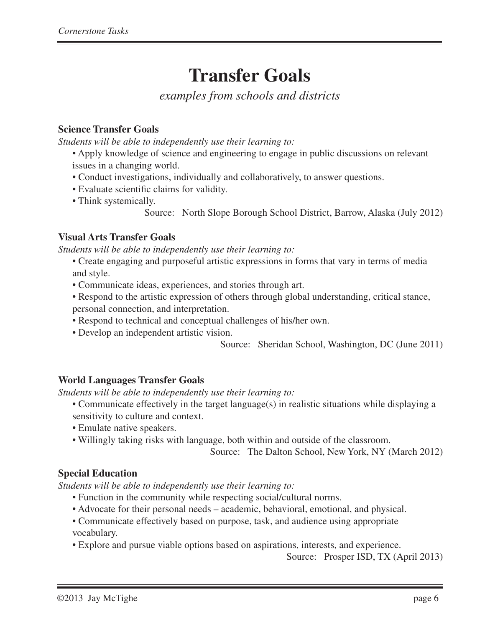# **Transfer Goals**

*examples from schools and districts*

#### **Science Transfer Goals**

*Students will be able to independently use their learning to:*

- Apply knowledge of science and engineering to engage in public discussions on relevant issues in a changing world.
- Conduct investigations, individually and collaboratively, to answer questions.
- Evaluate scientific claims for validity.
- Think systemically.
	- Source: North Slope Borough School District, Barrow, Alaska (July 2012)

#### **Visual Arts Transfer Goals**

*Students will be able to independently use their learning to:*

- Create engaging and purposeful artistic expressions in forms that vary in terms of media and style.
- Communicate ideas, experiences, and stories through art.
- Respond to the artistic expression of others through global understanding, critical stance, personal connection, and interpretation.
- Respond to technical and conceptual challenges of his/her own.
- Develop an independent artistic vision.

Source: Sheridan School, Washington, DC (June 2011)

#### **World Languages Transfer Goals**

*Students will be able to independently use their learning to:*

- Communicate effectively in the target language(s) in realistic situations while displaying a sensitivity to culture and context.
- Emulate native speakers.
- Willingly taking risks with language, both within and outside of the classroom.

Source: The Dalton School, New York, NY (March 2012)

#### **Special Education**

*Students will be able to independently use their learning to:*

- Function in the community while respecting social/cultural norms.
- Advocate for their personal needs academic, behavioral, emotional, and physical.
- Communicate effectively based on purpose, task, and audience using appropriate vocabulary.
- Explore and pursue viable options based on aspirations, interests, and experience.

Source: Prosper ISD, TX (April 2013)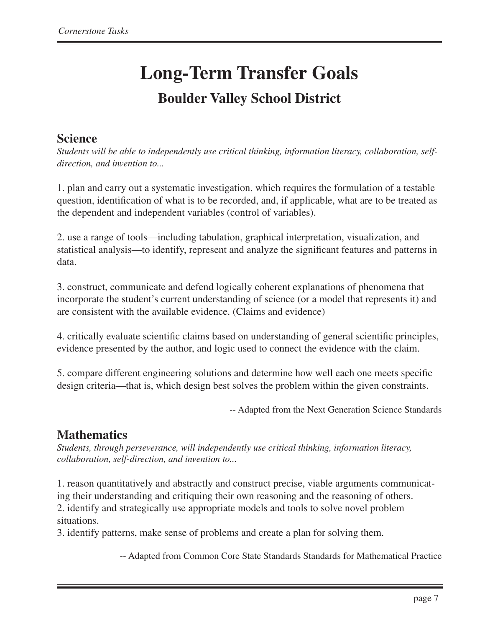## **Science**

*Students will be able to independently use critical thinking, information literacy, collaboration, selfdirection, and invention to...*

1. plan and carry out a systematic investigation, which requires the formulation of a testable question, identification of what is to be recorded, and, if applicable, what are to be treated as the dependent and independent variables (control of variables).

2. use a range of tools—including tabulation, graphical interpretation, visualization, and statistical analysis—to identify, represent and analyze the significant features and patterns in data.

3. construct, communicate and defend logically coherent explanations of phenomena that incorporate the student's current understanding of science (or a model that represents it) and are consistent with the available evidence. (Claims and evidence)

4. critically evaluate scientific claims based on understanding of general scientific principles, evidence presented by the author, and logic used to connect the evidence with the claim.

5. compare different engineering solutions and determine how well each one meets specific design criteria—that is, which design best solves the problem within the given constraints.

-- Adapted from the Next Generation Science Standards

## **Mathematics**

*Students, through perseverance, will independently use critical thinking, information literacy, collaboration, self-direction, and invention to...*

1. reason quantitatively and abstractly and construct precise, viable arguments communicating their understanding and critiquing their own reasoning and the reasoning of others. 2. identify and strategically use appropriate models and tools to solve novel problem situations.

3. identify patterns, make sense of problems and create a plan for solving them.

-- Adapted from Common Core State Standards Standards for Mathematical Practice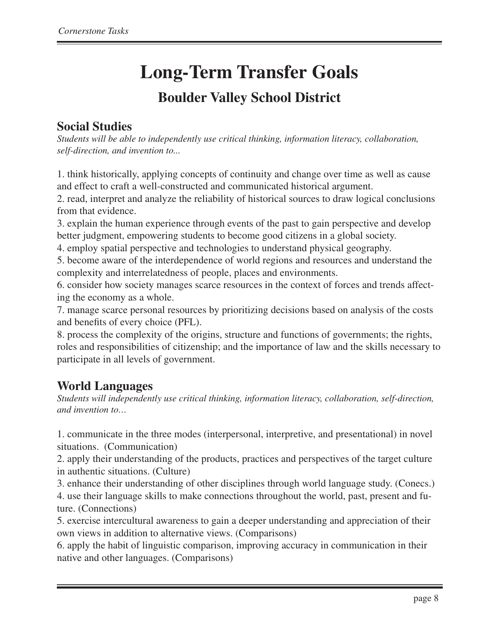# **Long-Term Transfer Goals**

## **Boulder Valley School District**

## **Social Studies**

*Students will be able to independently use critical thinking, information literacy, collaboration, self-direction, and invention to...*

1. think historically, applying concepts of continuity and change over time as well as cause and effect to craft a well-constructed and communicated historical argument.

2. read, interpret and analyze the reliability of historical sources to draw logical conclusions from that evidence.

3. explain the human experience through events of the past to gain perspective and develop better judgment, empowering students to become good citizens in a global society.

4. employ spatial perspective and technologies to understand physical geography.

5. become aware of the interdependence of world regions and resources and understand the complexity and interrelatedness of people, places and environments.

6. consider how society manages scarce resources in the context of forces and trends affecting the economy as a whole.

7. manage scarce personal resources by prioritizing decisions based on analysis of the costs and benefits of every choice (PFL).

8. process the complexity of the origins, structure and functions of governments; the rights, roles and responsibilities of citizenship; and the importance of law and the skills necessary to participate in all levels of government.

## **World Languages**

*Students will independently use critical thinking, information literacy, collaboration, self-direction, and invention to…*

1. communicate in the three modes (interpersonal, interpretive, and presentational) in novel situations. (Communication)

2. apply their understanding of the products, practices and perspectives of the target culture in authentic situations. (Culture)

3. enhance their understanding of other disciplines through world language study. (Conecs.) 4. use their language skills to make connections throughout the world, past, present and future. (Connections)

5. exercise intercultural awareness to gain a deeper understanding and appreciation of their own views in addition to alternative views. (Comparisons)

6. apply the habit of linguistic comparison, improving accuracy in communication in their native and other languages. (Comparisons)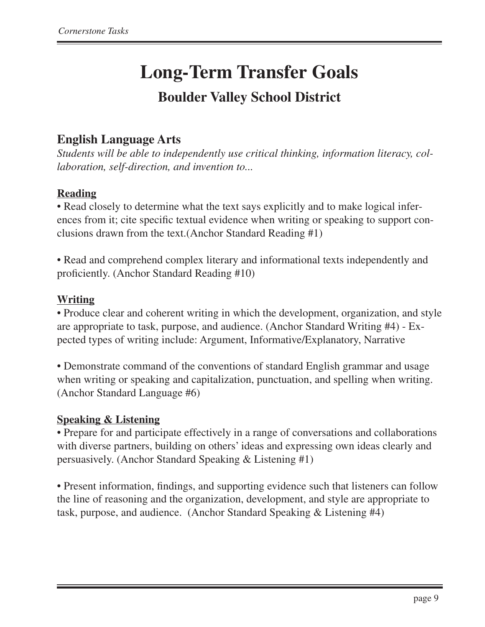## **English Language Arts**

*Students will be able to independently use critical thinking, information literacy, collaboration, self-direction, and invention to...*

#### **Reading**

• Read closely to determine what the text says explicitly and to make logical inferences from it; cite specific textual evidence when writing or speaking to support conclusions drawn from the text.(Anchor Standard Reading #1)

• Read and comprehend complex literary and informational texts independently and proficiently. (Anchor Standard Reading #10)

#### **Writing**

• Produce clear and coherent writing in which the development, organization, and style are appropriate to task, purpose, and audience. (Anchor Standard Writing #4) - Expected types of writing include: Argument, Informative/Explanatory, Narrative

• Demonstrate command of the conventions of standard English grammar and usage when writing or speaking and capitalization, punctuation, and spelling when writing. (Anchor Standard Language #6)

#### **Speaking & Listening**

• Prepare for and participate effectively in a range of conversations and collaborations with diverse partners, building on others' ideas and expressing own ideas clearly and persuasively. (Anchor Standard Speaking & Listening #1)

• Present information, findings, and supporting evidence such that listeners can follow the line of reasoning and the organization, development, and style are appropriate to task, purpose, and audience. (Anchor Standard Speaking & Listening #4)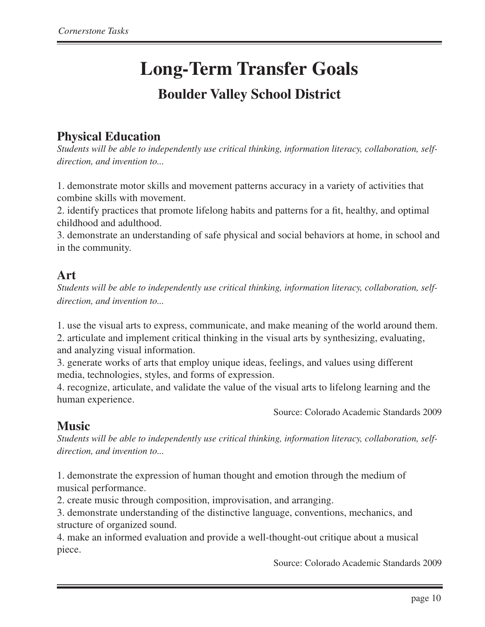## **Physical Education**

*Students will be able to independently use critical thinking, information literacy, collaboration, selfdirection, and invention to...*

1. demonstrate motor skills and movement patterns accuracy in a variety of activities that combine skills with movement.

2. identify practices that promote lifelong habits and patterns for a fit, healthy, and optimal childhood and adulthood.

3. demonstrate an understanding of safe physical and social behaviors at home, in school and in the community.

#### **Art**

*Students will be able to independently use critical thinking, information literacy, collaboration, selfdirection, and invention to...*

1. use the visual arts to express, communicate, and make meaning of the world around them. 2. articulate and implement critical thinking in the visual arts by synthesizing, evaluating, and analyzing visual information.

3. generate works of arts that employ unique ideas, feelings, and values using different media, technologies, styles, and forms of expression.

4. recognize, articulate, and validate the value of the visual arts to lifelong learning and the human experience.

Source: Colorado Academic Standards 2009

## **Music**

*Students will be able to independently use critical thinking, information literacy, collaboration, selfdirection, and invention to...*

1. demonstrate the expression of human thought and emotion through the medium of musical performance.

2. create music through composition, improvisation, and arranging.

3. demonstrate understanding of the distinctive language, conventions, mechanics, and structure of organized sound.

4. make an informed evaluation and provide a well-thought-out critique about a musical piece.

Source: Colorado Academic Standards 2009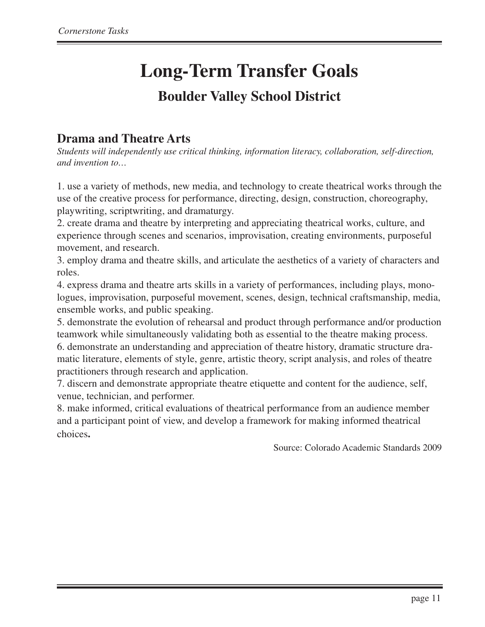## **Drama and Theatre Arts**

*Students will independently use critical thinking, information literacy, collaboration, self-direction, and invention to…*

1. use a variety of methods, new media, and technology to create theatrical works through the use of the creative process for performance, directing, design, construction, choreography, playwriting, scriptwriting, and dramaturgy.

2. create drama and theatre by interpreting and appreciating theatrical works, culture, and experience through scenes and scenarios, improvisation, creating environments, purposeful movement, and research.

3. employ drama and theatre skills, and articulate the aesthetics of a variety of characters and roles.

4. express drama and theatre arts skills in a variety of performances, including plays, monologues, improvisation, purposeful movement, scenes, design, technical craftsmanship, media, ensemble works, and public speaking.

5. demonstrate the evolution of rehearsal and product through performance and/or production teamwork while simultaneously validating both as essential to the theatre making process. 6. demonstrate an understanding and appreciation of theatre history, dramatic structure dramatic literature, elements of style, genre, artistic theory, script analysis, and roles of theatre

practitioners through research and application.

7. discern and demonstrate appropriate theatre etiquette and content for the audience, self, venue, technician, and performer.

8. make informed, critical evaluations of theatrical performance from an audience member and a participant point of view, and develop a framework for making informed theatrical choices**.**

Source: Colorado Academic Standards 2009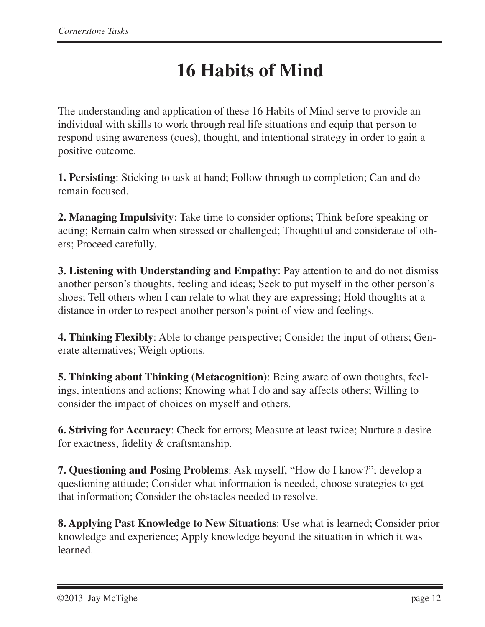# **16 Habits of Mind**

The understanding and application of these 16 Habits of Mind serve to provide an individual with skills to work through real life situations and equip that person to respond using awareness (cues), thought, and intentional strategy in order to gain a positive outcome.

**1. Persisting**: Sticking to task at hand; Follow through to completion; Can and do remain focused.

**2. Managing Impulsivity**: Take time to consider options; Think before speaking or acting; Remain calm when stressed or challenged; Thoughtful and considerate of others; Proceed carefully.

**3. Listening with Understanding and Empathy**: Pay attention to and do not dismiss another person's thoughts, feeling and ideas; Seek to put myself in the other person's shoes; Tell others when I can relate to what they are expressing; Hold thoughts at a distance in order to respect another person's point of view and feelings.

**4. Thinking Flexibly**: Able to change perspective; Consider the input of others; Generate alternatives; Weigh options.

**5. Thinking about Thinking (Metacognition)**: Being aware of own thoughts, feelings, intentions and actions; Knowing what I do and say affects others; Willing to consider the impact of choices on myself and others.

**6. Striving for Accuracy**: Check for errors; Measure at least twice; Nurture a desire for exactness, fidelity & craftsmanship.

**7. Questioning and Posing Problems**: Ask myself, "How do I know?"; develop a questioning attitude; Consider what information is needed, choose strategies to get that information; Consider the obstacles needed to resolve.

**8. Applying Past Knowledge to New Situations**: Use what is learned; Consider prior knowledge and experience; Apply knowledge beyond the situation in which it was learned.